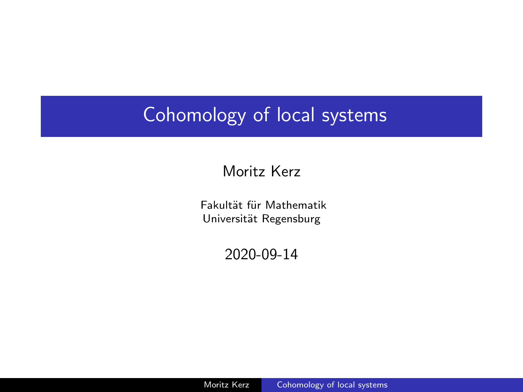## <span id="page-0-0"></span>Cohomology of local systems

### Moritz Kerz

Fakultät für Mathematik Universität Regensburg

2020-09-14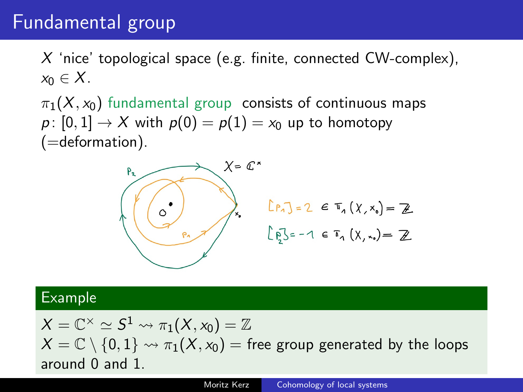### Fundamental group

X 'nice' topological space (e.g. finite, connected CW-complex),  $x_0 \in X$ .

 $\pi_1(X, x_0)$  fundamental group consists of continuous maps  $p: [0, 1] \rightarrow X$  with  $p(0) = p(1) = x_0$  up to homotopy  $(=$ deformation $).$ 



#### Example

 $X=\mathbb{C}^\times\simeq S^1\leadsto \pi_1(X,\mathsf{x}_0)=\mathbb{Z}$  $X = \mathbb{C} \setminus \{0, 1\} \rightsquigarrow \pi_1(X, x_0)$  = free group generated by the loops around 0 and 1.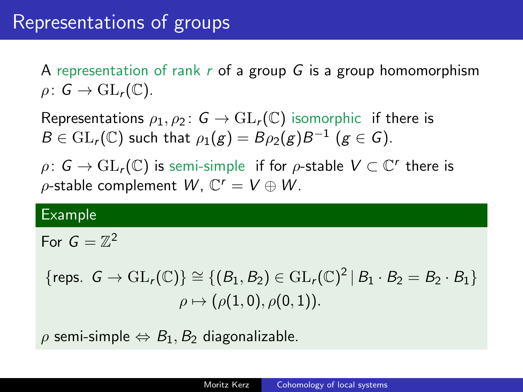A representation of rank  $r$  of a group  $G$  is a group homomorphism  $\rho: G \to GL_r(\mathbb{C}).$ 

Representations  $\rho_1, \rho_2$ :  $G \to GL_r(\mathbb{C})$  isomorphic if there is  $B\in \mathrm{GL}_r(\mathbb{C})$  such that  $\rho_1(g)=B\rho_2(g)B^{-1}$   $(g\in \mathcal{G}).$ 

 $\rho\colon\thinspace\mathsf{G}\to \text{GL}_r(\mathbb{C})$  is semi-simple  $\thinspace$  if for  $\rho$ -stable  $\mathsf{V}\subset \mathbb{C}^r$  there is  $\rho$ -stable complement  $W$ ,  $\mathbb{C}^r = V \oplus W$ .

#### Example

For  $G=\mathbb{Z}^2$ 

 $\{\text{reps. } G \to \text{GL}_r(\mathbb{C})\} \cong \{(B_1, B_2) \in \text{GL}_r(\mathbb{C})^2 | B_1 \cdot B_2 = B_2 \cdot B_1\}$  $\rho \mapsto (\rho(1, 0), \rho(0, 1)).$ 

 $\rho$  semi-simple  $\Leftrightarrow$   $B_1$ ,  $B_2$  diagonalizable.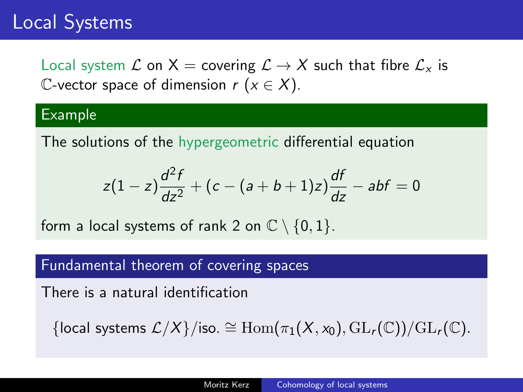## Local Systems

Local system L on X = covering  $\mathcal{L} \to X$  such that fibre  $\mathcal{L}_x$  is C-vector space of dimension  $r (x \in X)$ .

#### Example

The solutions of the hypergeometric differential equation

$$
z(1-z)\frac{d^2f}{dz^2} + (c - (a+b+1)z)\frac{df}{dz} - abf = 0
$$

form a local systems of rank 2 on  $\mathbb{C} \setminus \{0,1\}$ .

#### Fundamental theorem of covering spaces

There is a natural identification

{local systems  $\mathcal{L}/X$ }/iso. ≅ Hom $(\pi_1(X, x_0), GL_r(\mathbb{C}))/GL_r(\mathbb{C})$ .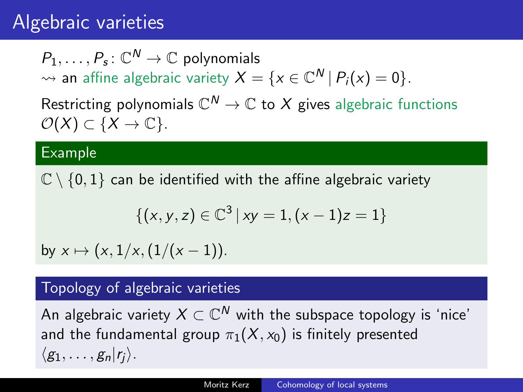## Algebraic varieties

 $P_1,\ldots,P_s\colon\mathbb{C}^{\textsf{N}}\to\mathbb{C}$  polynomials  $\rightsquigarrow$  an affine algebraic variety  $X = \{x \in \mathbb{C}^N \,|\, P_i(x) = 0\}.$ Restricting polynomials  $\mathbb{C}^N\to\mathbb{C}$  to  $X$  gives algebraic functions  $\mathcal{O}(X) \subset \{X \to \mathbb{C}\}.$ 

#### Example

 $\mathbb{C} \setminus \{0, 1\}$  can be identified with the affine algebraic variety

$$
\{(x,y,z)\in\mathbb{C}^3\,|\, xy=1,(x-1)z=1\}
$$

by  $x \mapsto (x, 1/x, (1/(x - 1))$ .

#### Topology of algebraic varieties

An algebraic variety  $X\subset \mathbb C^N$  with the subspace topology is 'nice' and the fundamental group  $\pi_1(X, x_0)$  is finitely presented  $\langle g_1, \ldots, g_n|r_i \rangle$ .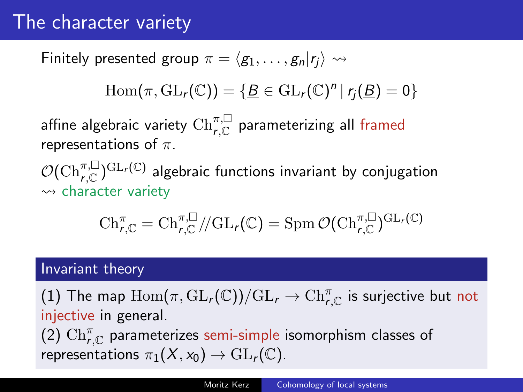## The character variety

Finitely presented group  $\pi = \langle g_1, \ldots, g_n|r_i \rangle \rightsquigarrow$ 

$$
\operatorname{Hom}(\pi,\operatorname{GL}_r(\mathbb{C}))=\{\underline{B}\in\operatorname{GL}_r(\mathbb{C})^n\,|\,r_j(\underline{B})=0\}
$$

affine algebraic variety  $\mathrm{Ch}_{r,\mathbb{C}}^{\pi,\square}$  parameterizing all framed representations of  $\pi$ .

 $\mathcal{O}(\mathrm{Ch}_{r,\mathbb{C}}^{\pi,\square})^{\mathrm{GL}_r(\mathbb{C})}$  algebraic functions invariant by conjugation  $\rightsquigarrow$  character variety

$$
\mathrm{Ch}^{\pi}_{\text{r},\mathbb{C}}=\mathrm{Ch}^{\pi,\square}_{\text{r},\mathbb{C}}/\!/\mathrm{GL}_{\text{r}}(\mathbb{C})=\mathrm{Spm}\,\mathcal{O}(\mathrm{Ch}^{\pi,\square}_{\text{r},\mathbb{C}})^{\mathrm{GL}_{\text{r}}(\mathbb{C})}
$$

### Invariant theory

(1) The map  $\mathrm{Hom}(\pi,\mathrm{GL}_r(\mathbb{C}))/\mathrm{GL}_r\to\mathrm{Ch}_{r,\mathbb{C}}^\pi$  is surjective but not injective in general.

 $(2)$   $\mathrm{Ch}_{r,\mathbb{C}}^{\pi}$  parameterizes semi-simple isomorphism classes of representations  $\pi_1(X, x_0) \to \mathrm{GL}_r(\mathbb{C})$ .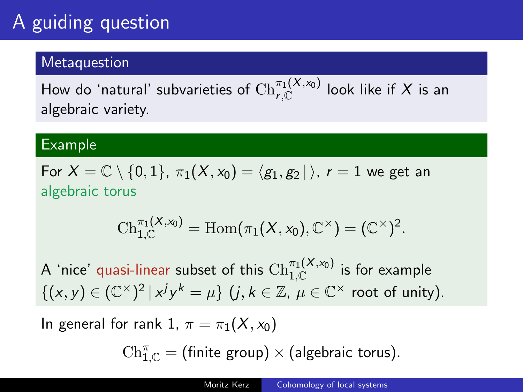## A guiding question

### **Metaquestion**

How do 'natural' subvarieties of  $\mathrm{Ch}_{r,\mathbb{C}}^{\pi_1(X,\mathsf{x}_0)}$  look like if  $X$  is an algebraic variety.

#### Example

For  $X = \mathbb{C} \setminus \{0, 1\}, \pi_1(X, x_0) = \langle g_1, g_2 | \rangle$ ,  $r = 1$  we get an algebraic torus

$$
\mathrm{Ch}_{1,\mathbb{C}}^{\pi_1(X,x_0)}=\mathrm{Hom}(\pi_1(X,x_0),\mathbb{C}^\times)=(\mathbb{C}^\times)^2.
$$

A 'nice' quasi-linear subset of this  $\mathrm{Ch}_{1,\mathbb{C}}^{\pi_1(X,\mathsf{x}_0)}$  is for example  $\{(x, y) \in (\mathbb{C}^{\times})^2 | x^j y^k = \mu \}$   $(j, k \in \mathbb{Z}, \mu \in \mathbb{C}^{\times}$  root of unity).

In general for rank 1,  $\pi = \pi_1(X, x_0)$ 

 $\mathrm{Ch}_{1,\mathbb{C}}^\pi = \text{(finite group)} \times \text{(algebraic torus)}.$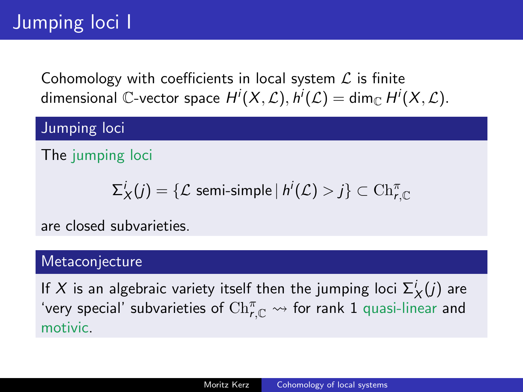Cohomology with coefficients in local system  $\mathcal L$  is finite dimensional  $\mathbb C$ -vector space  $H^i(X,\mathcal L),$   $h^i(\mathcal L)=\dim_\mathbb{C} H^i(X,\mathcal L).$ 

Jumping loci

The jumping loci

$$
\Sigma_X^i(j) = \{ \mathcal{L} \text{ semi-simple} \, | \, h^i(\mathcal{L}) > j \} \subset \mathrm{Ch}_{r, \mathbb{C}}^\pi
$$

are closed subvarieties.

### **Metaconjecture**

If  $X$  is an algebraic variety itself then the jumping loci  $\Sigma_X^i(j)$  are 'very special' subvarieties of  $\mathrm{Ch}_{\mathsf{r},\mathbb{C}}^\pi \leadsto$  for rank  $1$  quasi-linear and motivic.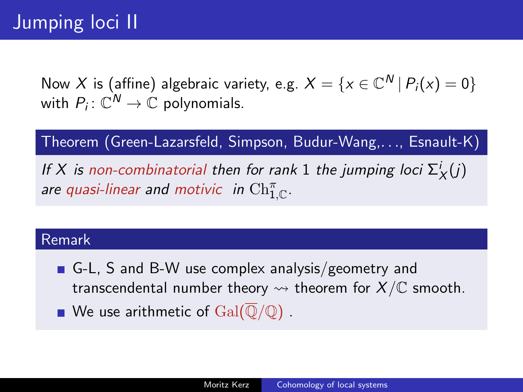Now  $X$  is (affine) algebraic variety, e.g.  $X = \{x \in \mathbb{C}^N \,|\, P_i(x) = 0\}$ with  $P_i\colon\mathbb{C}^{\textsf{N}}\to\mathbb{C}$  polynomials.

Theorem (Green-Lazarsfeld, Simpson, Budur-Wang,. . ., Esnault-K)

If X is non-combinatorial then for rank 1 the jumping loci  $\Sigma_X^i(j)$ are quasi-linear and motivic in  $\mathrm{Ch}_{1,\mathbb{C}}^\pi.$ 

#### Remark

- G-L, S and B-W use complex analysis/geometry and transcendental number theory  $\rightsquigarrow$  theorem for  $X/\mathbb{C}$  smooth.
- We use arithmetic of  $Gal(\overline{\mathbb{Q}}/\mathbb{Q})$ .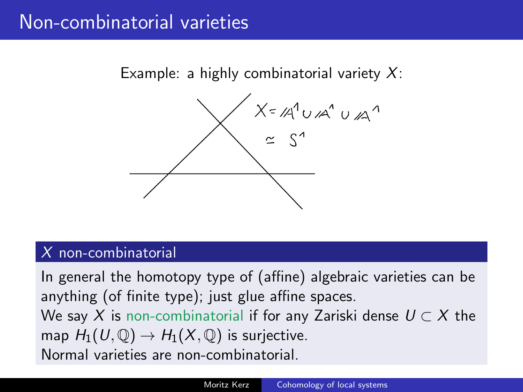## Non-combinatorial varieties

Example: a highly combinatorial variety  $X$ :



#### X non-combinatorial

In general the homotopy type of (affine) algebraic varieties can be anything (of finite type); just glue affine spaces. We say X is non-combinatorial if for any Zariski dense  $U \subset X$  the map  $H_1(U, \mathbb{Q}) \to H_1(X, \mathbb{Q})$  is surjective. Normal varieties are non-combinatorial.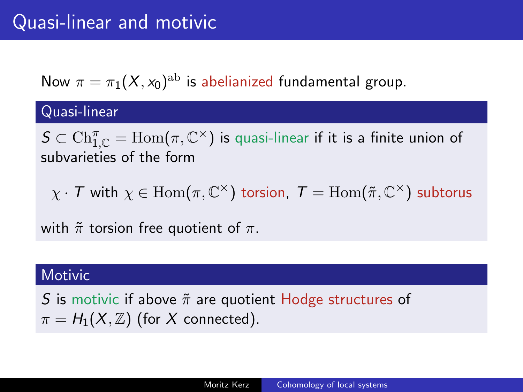Now  $\pi = \pi_1(X, x_0)^{\text{ab}}$  is abelianized fundamental group.

### Quasi-linear

 $\mathcal{S}\subset\mathrm{Ch}_{1,\mathbb{C}}^{\pi}=\mathrm{Hom}(\pi,\mathbb{C}^{\times})$  is quasi-linear if it is a finite union of subvarieties of the form

 $\chi\cdot\mathcal{T}$  with  $\chi\in \mathrm{Hom}(\pi,\mathbb{C}^{\times})$  torsion,  $\mathcal{T}=\mathrm{Hom}(\tilde{\pi},\mathbb{C}^{\times})$  subtorus

with  $\tilde{\pi}$  torsion free quotient of  $\pi$ .

#### **Motivic**

S is motivic if above  $\tilde{\pi}$  are quotient Hodge structures of  $\pi = H_1(X, \mathbb{Z})$  (for X connected).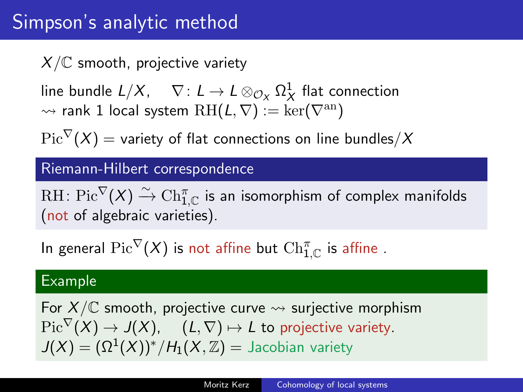## Simpson's analytic method

 $X/\mathbb{C}$  smooth, projective variety

line bundle  $L/X$ ,  $\quad \nabla\colon L\to L\otimes_{{\mathcal O}_X}\Omega^1_X$  flat connection  $\rightsquigarrow$  rank 1 local system  $\mathrm{RH}(L,\nabla) := \ker(\nabla^{\mathrm{an}})$ 

 $Pic^{\nabla}(X) =$  variety of flat connections on line bundles/X

### Riemann-Hilbert correspondence

 $\mathrm{RH}\colon \mathrm{Pic}^\nabla(X) \xrightarrow{\sim} \mathrm{Ch}_{1,\mathbb{C}}^\pi$  is an isomorphism of complex manifolds (not of algebraic varieties).

In general  ${\rm Pic}^\nabla(X)$  is not affine but  $\mathrm{Ch}_{1,\mathbb{C}}^\pi$  is affine .

#### Example

For  $X/\mathbb{C}$  smooth, projective curve  $\leadsto$  surjective morphism  $Pic^{\nabla}(X) \to J(X), \quad (L, \nabla) \mapsto L$  to projective variety.  $J(X) = (\Omega^1(X))^* / H_1(X, \mathbb{Z}) =$  Jacobian variety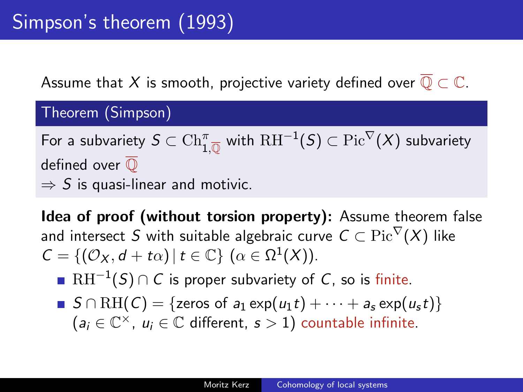Assume that X is smooth, projective variety defined over  $\overline{\mathbb{Q}} \subset \mathbb{C}$ .

Theorem (Simpson)

For a subvariety  $S\subset \mathrm{Ch}_{1,\overline{\mathbb{Q}}}^\pi$  with  $\mathrm{RH}^{-1}(S)\subset \mathrm{Pic}^\nabla(X)$  subvariety defined over  $\overline{0}$  $\Rightarrow$  S is quasi-linear and motivic.

Idea of proof (without torsion property): Assume theorem false and intersect S with suitable algebraic curve  $C \subset \text{Pic}^{\nabla}(X)$  like  $C = \{(\mathcal{O}_X, d + t\alpha) | t \in \mathbb{C}\}\ (\alpha \in \Omega^1(X)).$ 

- $\mathrm{RH}^{-1}(\mathcal{S})\cap\mathcal{C}$  is proper subvariety of  $\mathcal{C}$ , so is finite.
- S  $\cap$  RH(C) = {zeros of  $a_1$  exp( $u_1t$ ) +  $\cdots$  +  $a_5$  exp( $u_5t$ )}  $(a_i \in \mathbb{C}^\times, u_i \in \mathbb{C}$  different,  $s > 1$ ) countable infinite.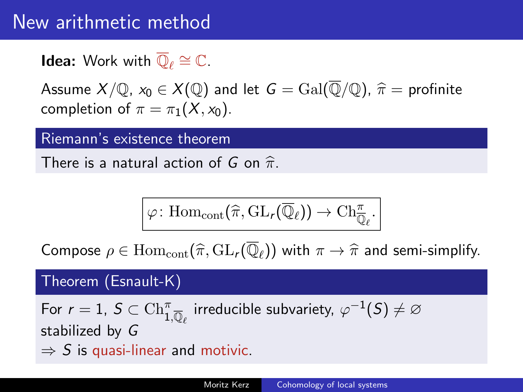## New arithmetic method

**Idea:** Work with  $\overline{\mathbb{Q}}_{\ell} \cong \mathbb{C}$ .

Assume  $X/\mathbb{Q}$ ,  $x_0 \in X(\mathbb{Q})$  and let  $G = \text{Gal}(\overline{\mathbb{Q}}/\mathbb{Q})$ ,  $\hat{\pi} =$  profinite completion of  $\pi = \pi_1(X, x_0)$ .

#### Riemann's existence theorem

There is a natural action of G on  $\hat{\pi}$ .

$$
\varphi\colon \mathrm{Hom}_{\mathrm{cont}}(\widehat{\pi},\mathrm{GL}_{r}(\overline{\mathbb{Q}}_{\ell}))\to \mathrm{Ch}_{\overline{\mathbb{Q}}_{\ell}}^{\pi}.
$$

Compose  $\rho \in \mathrm{Hom}_{\mathrm{cont}}(\widehat{\pi}, \mathrm{GL}_r(\overline{\mathbb{Q}}_{\ell}))$  with  $\pi \to \widehat{\pi}$  and semi-simplify.

### Theorem (Esnault-K)

For  $r = 1$ ,  $S \subset \mathrm{Ch}_{1,\overline{\mathbb{Q}}_{\ell}}^{\pi}$  irreducible subvariety,  $\varphi^{-1}(S) \neq \varnothing$ stabilized by G  $\Rightarrow$  S is quasi-linear and motivic.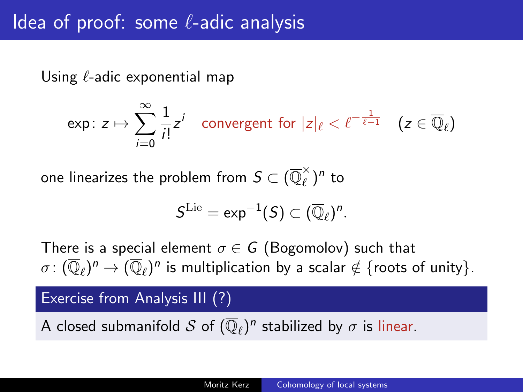Using  $\ell$ -adic exponential map

$$
\text{exp}\colon z\mapsto \sum_{i=0}^\infty \frac{1}{i!}z^i \quad \text{convergent for } |z|_\ell<\ell^{-\frac{1}{\ell-1}} \quad (z\in \overline{\mathbb{Q}}_\ell)
$$

one linearizes the problem from  $\mathcal{S} \subset (\overline{\mathbb{Q}}_\ell^\times)$  $\binom{x}{\ell}$ <sup>n</sup> to

$$
\mathcal{S}^{\mathrm{Lie}} = \textnormal{exp}^{-1}(\mathcal{S}) \subset (\overline{\mathbb{Q}}_{\ell})^n.
$$

There is a special element  $\sigma \in G$  (Bogomolov) such that  $\sigma\colon (\overline{\mathbb{Q}}_\ell)^n \to (\overline{\mathbb{Q}}_\ell)^n$  is multiplication by a scalar  $\notin$  {roots of unity}.

Exercise from Analysis III (?)

A closed submanifold  $\mathcal S$  of  $(\overline{\mathbb Q}_\ell)^n$  stabilized by  $\sigma$  is linear.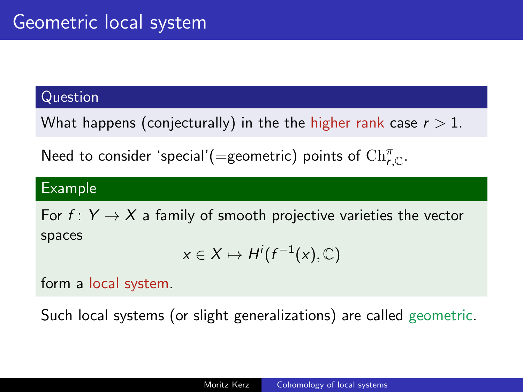#### Question

What happens (conjecturally) in the the higher rank case  $r > 1$ .

Need to consider 'special'(=geometric) points of  $\mathrm{Ch}_{r,\mathbb{C}}^{\pi}.$ 

#### Example

For  $f: Y \rightarrow X$  a family of smooth projective varieties the vector spaces

$$
x \in X \mapsto H^i(f^{-1}(x), \mathbb{C})
$$

form a local system.

Such local systems (or slight generalizations) are called geometric.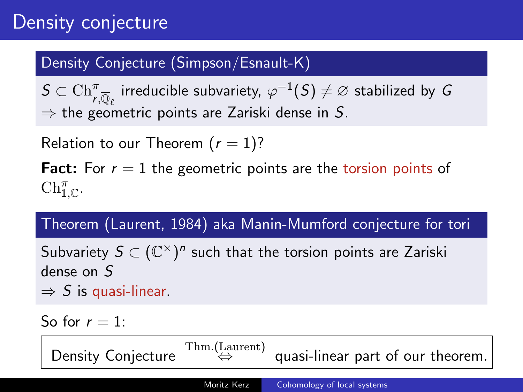## Density conjecture

### Density Conjecture (Simpson/Esnault-K)

 $\mathcal{S} \subset \mathrm{Ch}_{r,\overline{\mathbb{Q}}_{\ell}}^{\pi}$  irreducible subvariety,  $\varphi^{-1}(\mathcal{S}) \neq \varnothing$  stabilized by  $G$  $\Rightarrow$  the geometric points are Zariski dense in S.

Relation to our Theorem  $(r = 1)$ ?

**Fact:** For  $r = 1$  the geometric points are the torsion points of  $\mathrm{Ch}_{1,\mathbb{C}}^{\pi}$ .

Theorem (Laurent, 1984) aka Manin-Mumford conjecture for tori

Subvariety  $S \subset (\mathbb{C}^\times)^n$  such that the torsion points are Zariski dense on S  $\Rightarrow$  S is quasi-linear.

So for  $r = 1$ : Density Conjecture  $T_{\text{hm}}^{\text{Thm}}$ .(Laurent) quasi-linear part of our theorem. Moritz Kerz [Cohomology of local systems](#page-0-0)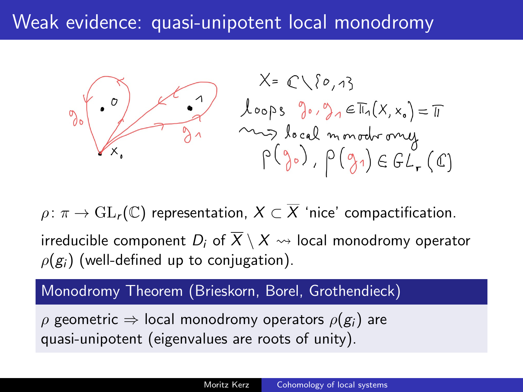## Weak evidence: quasi-unipotent local monodromy



 $\rho: \pi \to GL_r(\mathbb{C})$  representation,  $X \subset \overline{X}$  'nice' compactification. irreducible component D<sub>i</sub> of  $\overline{X} \setminus X \rightsquigarrow$  local monodromy operator  $\rho(g_i)$  (well-defined up to conjugation).

### Monodromy Theorem (Brieskorn, Borel, Grothendieck)

 $\rho$  geometric  $\Rightarrow$  local monodromy operators  $\rho(g_i)$  are quasi-unipotent (eigenvalues are roots of unity).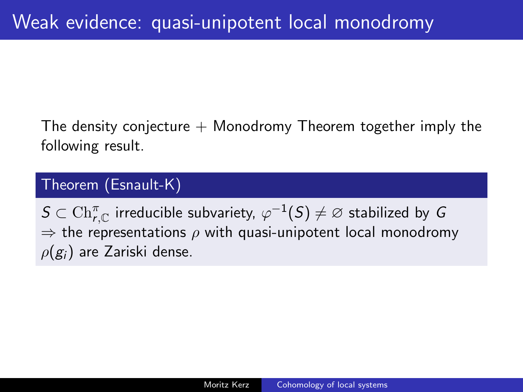The density conjecture  $+$  Monodromy Theorem together imply the following result.

### Theorem (Esnault-K)

 $\mathcal{S}\subset\mathrm{Ch}_{r,\mathbb{C}}^{\pi}$  irreducible subvariety,  $\varphi^{-1}(\mathcal{S})\neq\varnothing$  stabilized by  $G$  $\Rightarrow$  the representations  $\rho$  with quasi-unipotent local monodromy  $\rho(g_i)$  are Zariski dense.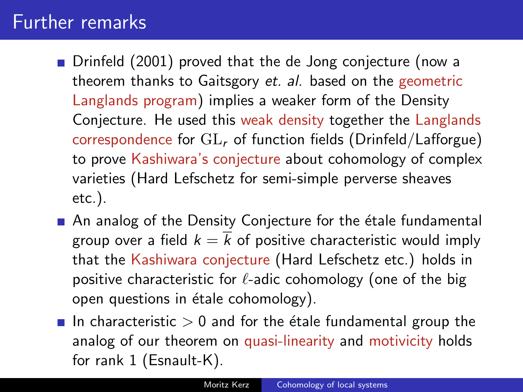### Further remarks

- Drinfeld (2001) proved that the de Jong conjecture (now a theorem thanks to Gaitsgory et. al. based on the geometric Langlands program) implies a weaker form of the Density Conjecture. He used this weak density together the Langlands correspondence for  $GL_r$  of function fields (Drinfeld/Lafforgue) to prove Kashiwara's conjecture about cohomology of complex varieties (Hard Lefschetz for semi-simple perverse sheaves etc.).
- $\blacksquare$  An analog of the Density Conjecture for the étale fundamental group over a field  $k = \overline{k}$  of positive characteristic would imply that the Kashiwara conjecture (Hard Lefschetz etc.) holds in positive characteristic for  $\ell$ -adic cohomology (one of the big open questions in étale cohomology).
- In characteristic  $> 0$  and for the étale fundamental group the analog of our theorem on quasi-linearity and motivicity holds for rank 1 (Esnault-K).